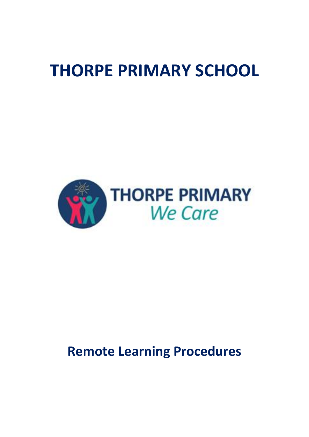# **THORPE PRIMARY SCHOOL**



## **Remote Learning Procedures**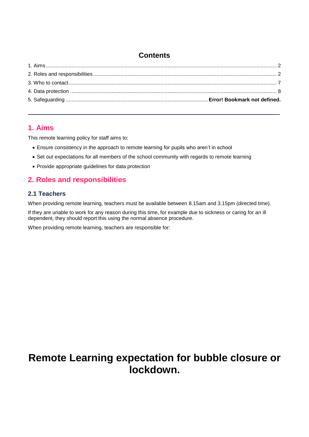## **Contents**

### <span id="page-1-0"></span>**1. Aims**

This remote learning policy for staff aims to:

- Ensure consistency in the approach to remote learning for pupils who aren't in school
- Set out expectations for all members of the school community with regards to remote learning
- Provide appropriate guidelines for data protection

## <span id="page-1-1"></span>**2. Roles and responsibilities**

#### **2.1 Teachers**

When providing remote learning, teachers must be available between 8.15am and 3.15pm (directed time).

If they are unable to work for any reason during this time, for example due to sickness or caring for an ill dependent, they should report this using the normal absence procedure.

When providing remote learning, teachers are responsible for:

## **Remote Learning expectation for bubble closure or lockdown.**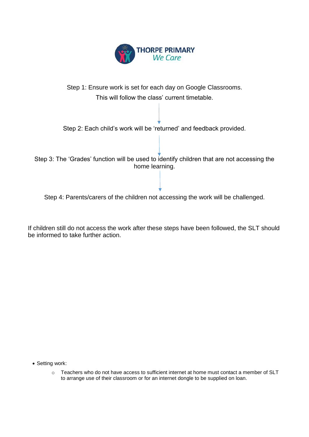



Step 4: Parents/carers of the children not accessing the work will be challenged.

If children still do not access the work after these steps have been followed, the SLT should be informed to take further action.

• Setting work:

 $\circ$  Teachers who do not have access to sufficient internet at home must contact a member of SLT to arrange use of their classroom or for an internet dongle to be supplied on loan.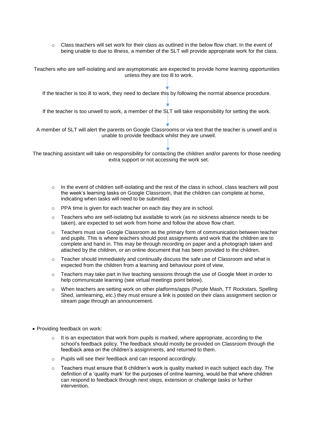$\circ$  Class teachers will set work for their class as outlined in the below flow chart. In the event of being unable to due to illness, a member of the SLT will provide appropriate work for the class.

Teachers who are self-isolating and are asymptomatic are expected to provide home learning opportunities unless they are too ill to work.

If the teacher is too ill to work, they need to declare this by following the normal absence procedure.

If the teacher is too unwell to work, a member of the SLT will take responsibility for setting the work.

A member of SLT will alert the parents on Google Classrooms or via text that the teacher is unwell and is unable to provide feedback whilst they are unwell.

The teaching assistant will take on responsibility for contacting the children and/or parents for those needing extra support or not accessing the work set.

- $\circ$  In the event of children self-isolating and the rest of the class in school, class teachers will post the week's learning tasks on Google Classroom, that the children can complete at home, indicating when tasks will need to be submitted.
- o PPA time is given for each teacher on each day they are in school.
- $\circ$  Teachers who are self-isolating but available to work (as no sickness absence needs to be taken), are expected to set work from home and follow the above flow chart.
- $\circ$  Teachers must use Google Classroom as the primary form of communication between teacher and pupils. This is where teachers should post assignments and work that the children are to complete and hand in. This may be through recording on paper and a photograph taken and attached by the children, or an online document that has been provided to the children.
- $\circ$  Teacher should immediately and continually discuss the safe use of Classroom and what is expected from the children from a learning and behaviour point of view.
- $\circ$  Teachers may take part in live teaching sessions through the use of Google Meet in order to help communicate learning (see virtual meetings point below).
- o When teachers are setting work on other platforms/apps (Purple Mash, TT Rockstars, Spelling Shed, iamlearning, etc.) they must ensure a link is posted on their class assignment section or stream page through an announcement.
- Providing feedback on work:
	- $\circ$  It is an expectation that work from pupils is marked, where appropriate, according to the school's feedback policy. The feedback should mostly be provided on Classroom through the feedback area on the children's assignments, and returned to them.
	- o Pupils will see their feedback and can respond accordingly.
	- $\circ$  Teachers must ensure that 6 children's work is quality marked in each subject each day. The definition of a 'quality mark' for the purposes of online learning, would be that where children can respond to feedback through next steps, extension or challenge tasks or further intervention.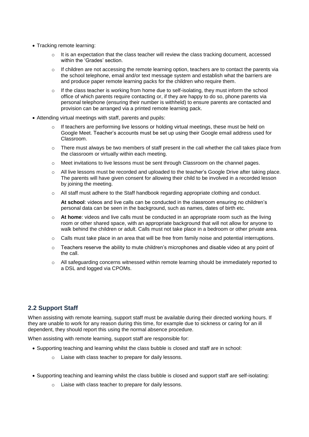- Tracking remote learning:
	- $\circ$  It is an expectation that the class teacher will review the class tracking document, accessed within the 'Grades' section.
	- $\circ$  If children are not accessing the remote learning option, teachers are to contact the parents via the school telephone, email and/or text message system and establish what the barriers are and produce paper remote learning packs for the children who require them.
	- $\circ$  If the class teacher is working from home due to self-isolating, they must inform the school office of which parents require contacting or, if they are happy to do so, phone parents via personal telephone (ensuring their number is withheld) to ensure parents are contacted and provision can be arranged via a printed remote learning pack.
- Attending virtual meetings with staff, parents and pupils:
	- $\circ$  If teachers are performing live lessons or holding virtual meetings, these must be held on Google Meet. Teacher's accounts must be set up using their Google email address used for Classroom.
	- $\circ$  There must always be two members of staff present in the call whether the call takes place from the classroom or virtually within each meeting.
	- o Meet invitations to live lessons must be sent through Classroom on the channel pages.
	- o All live lessons must be recorded and uploaded to the teacher's Google Drive after taking place. The parents will have given consent for allowing their child to be involved in a recorded lesson by joining the meeting.
	- o All staff must adhere to the Staff handbook regarding appropriate clothing and conduct.

**At school**: videos and live calls can be conducted in the classroom ensuring no children's personal data can be seen in the background, such as names, dates of birth etc.

- o **At home**: videos and live calls must be conducted in an appropriate room such as the living room or other shared space, with an appropriate background that will not allow for anyone to walk behind the children or adult. Calls must not take place in a bedroom or other private area.
- $\circ$  Calls must take place in an area that will be free from family noise and potential interruptions.
- $\circ$  Teachers reserve the ability to mute children's microphones and disable video at any point of the call.
- $\circ$  All safeguarding concerns witnessed within remote learning should be immediately reported to a DSL and logged via CPOMs.

#### **2.2 Support Staff**

When assisting with remote learning, support staff must be available during their directed working hours. If they are unable to work for any reason during this time, for example due to sickness or caring for an ill dependent, they should report this using the normal absence procedure.

When assisting with remote learning, support staff are responsible for:

- Supporting teaching and learning whilst the class bubble is closed and staff are in school:
	- o Liaise with class teacher to prepare for daily lessons.
- Supporting teaching and learning whilst the class bubble is closed and support staff are self-isolating:
	- o Liaise with class teacher to prepare for daily lessons.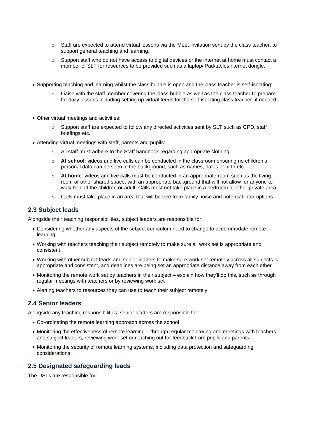- $\circ$  Staff are expected to attend virtual lessons via the Meet invitation sent by the class teacher, to support general teaching and learning.
- $\circ$  Support staff who do not have access to digital devices or the internet at home must contact a member of SLT for resources to be provided such as a laptop/iPad/tablet/internet dongle.
- Supporting teaching and learning whilst the class bubble is open and the class teacher is self-isolating:
	- o Liaise with the staff member covering the class bubble as well as the class teacher to prepare for daily lessons including setting up virtual feeds for the self-isolating class teacher, if needed.
- Other virtual meetings and activities:
	- $\circ$  Support staff are expected to follow any directed activities sent by SLT such as CPD, staff briefings etc.
- Attending virtual meetings with staff, parents and pupils:
	- o All staff must adhere to the Staff handbook regarding appropriate clothing.
	- o **At school**: videos and live calls can be conducted in the classroom ensuring no children's personal data can be seen in the background, such as names, dates of birth etc.
	- o **At home**: videos and live calls must be conducted in an appropriate room such as the living room or other shared space, with an appropriate background that will not allow for anyone to walk behind the children or adult. Calls must not take place in a bedroom or other private area.
	- $\circ$  Calls must take place in an area that will be free from family noise and potential interruptions.

#### **2.3 Subject leads**

Alongside their teaching responsibilities, subject leaders are responsible for:

- Considering whether any aspects of the subject curriculum need to change to accommodate remote learning
- Working with teachers teaching their subject remotely to make sure all work set is appropriate and consistent
- Working with other subject leads and senior leaders to make sure work set remotely across all subjects is appropriate and consistent, and deadlines are being set an appropriate distance away from each other
- Monitoring the remote work set by teachers in their subject explain how they'll do this, such as through regular meetings with teachers or by reviewing work set
- Alerting teachers to resources they can use to teach their subject remotely

#### **2.4 Senior leaders**

Alongside any teaching responsibilities, senior leaders are responsible for:

- Co-ordinating the remote learning approach across the school
- Monitoring the effectiveness of remote learning through regular monitoring and meetings with teachers and subject leaders, reviewing work set or reaching out for feedback from pupils and parents
- Monitoring the security of remote learning systems, including data protection and safeguarding considerations

#### **2.5 Designated safeguarding leads**

The DSLs are responsible for: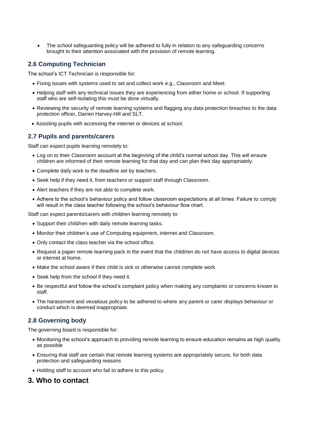• The school safeguarding policy will be adhered to fully in relation to any safeguarding concerns brought to their attention associated with the provision of remote learning.

#### **2.6 Computing Technician**

The school's ICT Technician is responsible for:

- Fixing issues with systems used to set and collect work e.g., Classroom and Meet.
- Helping staff with any technical issues they are experiencing from either home or school. If supporting staff who are self-isolating this must be done virtually.
- Reviewing the security of remote learning systems and flagging any data protection breaches to the data protection officer, Darren Harvey-Hill and SLT.
- Assisting pupils with accessing the internet or devices at school.

#### **2.7 Pupils and parents/carers**

Staff can expect pupils learning remotely to:

- Log on to their Classroom account at the beginning of the child's normal school day. This will ensure children are informed of their remote learning for that day and can plan their day appropriately.
- Complete daily work to the deadline set by teachers.
- Seek help if they need it, from teachers or support staff through Classroom.
- Alert teachers if they are not able to complete work.
- Adhere to the school's behaviour policy and follow classroom expectations at all times. Failure to comply will result in the class teacher following the school's behaviour flow chart.

Staff can expect parents/carers with children learning remotely to:

- Support their child/ren with daily remote learning tasks.
- Monitor their children's use of Computing equipment, internet and Classroom.
- Only contact the class teacher via the school office.
- Request a paper remote learning pack in the event that the child/ren do not have access to digital devices or internet at home.
- Make the school aware if their child is sick or otherwise cannot complete work.
- Seek help from the school if they need it.
- Be respectful and follow the school's complaint policy when making any complaints or concerns known to staff.
- The harassment and vexatious policy to be adhered to where any parent or carer displays behaviour or conduct which is deemed inappropriate.

#### **2.8 Governing body**

The governing board is responsible for:

- Monitoring the school's approach to providing remote learning to ensure education remains as high quality as possible
- Ensuring that staff are certain that remote learning systems are appropriately secure, for both data protection and safeguarding reasons
- Holding staff to account who fail to adhere to this policy.

#### <span id="page-6-0"></span>**3. Who to contact**